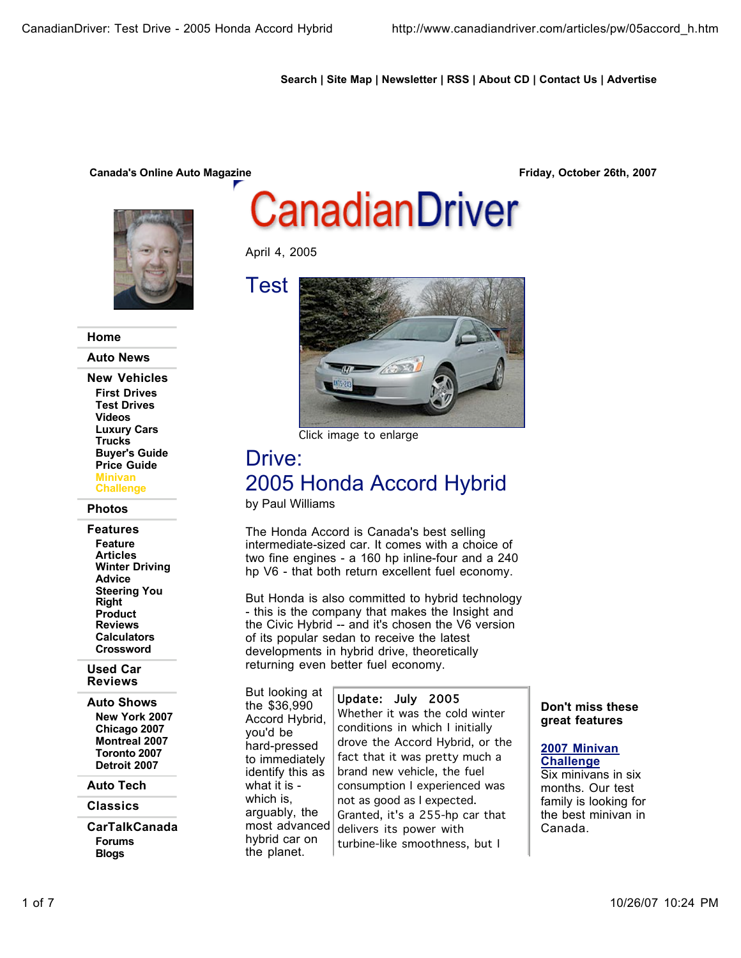# **Search | Site Map | Newsletter | RSS | About CD | Contact Us | Advertise**

# **Canada's Online Auto Magazine Friday, October 26th, 2007**



#### **Home**

**Auto News**

**New Vehicles First Drives Test Drives Videos Luxury Cars Trucks Buyer's Guide Price Guide Minivan Challenge**

#### **Photos**

**Features Feature Articles Winter Driving Advice Steering You Right Product Reviews Calculators Crossword**

#### **Used Car Reviews**

**Auto Shows New York 2007 Chicago 2007 Montreal 2007 Toronto 2007 Detroit 2007**

#### **Auto Tech**

**Classics**

**CarTalkCanada Forums Blogs**

# CanadianDriver

April 4, 2005

Test



Click image to enlarge

# Drive: 2005 Honda Accord Hybrid

by Paul Williams

The Honda Accord is Canada's best selling intermediate-sized car. It comes with a choice of two fine engines - a 160 hp inline-four and a 240 hp V6 - that both return excellent fuel economy.

But Honda is also committed to hybrid technology - this is the company that makes the Insight and the Civic Hybrid -- and it's chosen the V6 version of its popular sedan to receive the latest developments in hybrid drive, theoretically returning even better fuel economy.

But looking at the \$36,990 Accord Hybrid, you'd be hard-pressed to immediately identify this as what it is which is, arguably, the most advanced hybrid car on the planet.

#### Update: July 2005

Whether it was the cold winter conditions in which I initially drove the Accord Hybrid, or the fact that it was pretty much a brand new vehicle, the fuel consumption I experienced was not as good as I expected. Granted, it's a 255-hp car that delivers its power with turbine-like smoothness, but I

## **Don't miss these great features**

## **2007 Minivan Challenge**

Six minivans in six months. Our test family is looking for the best minivan in Canada.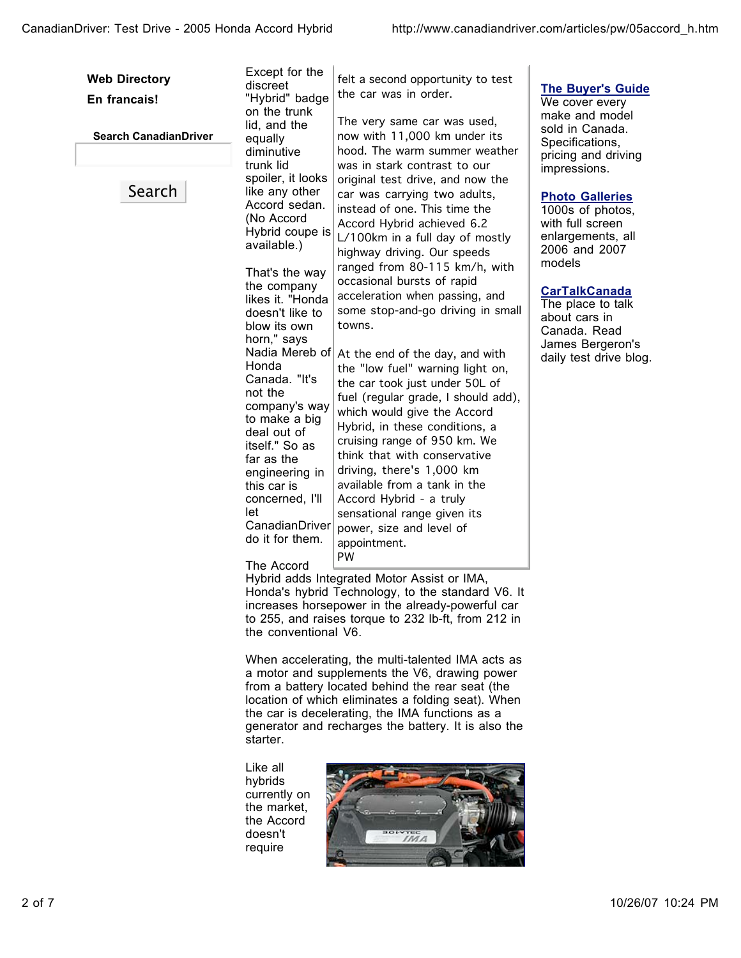| <b>Web Directory</b><br>En francais! | Except for the<br>discreet                                                                                                                                                                                                                          | felt a second opportunity to test<br>the car was in order.                                                                                                                                                                                                                                                                                                                                                                                             |
|--------------------------------------|-----------------------------------------------------------------------------------------------------------------------------------------------------------------------------------------------------------------------------------------------------|--------------------------------------------------------------------------------------------------------------------------------------------------------------------------------------------------------------------------------------------------------------------------------------------------------------------------------------------------------------------------------------------------------------------------------------------------------|
|                                      | "Hybrid" badge<br>on the trunk                                                                                                                                                                                                                      |                                                                                                                                                                                                                                                                                                                                                                                                                                                        |
| <b>Search CanadianDriver</b>         | lid, and the<br>equally<br>diminutive<br>trunk lid                                                                                                                                                                                                  | The very same car was used,<br>now with 11,000 km under its<br>hood. The warm summer weather<br>was in stark contrast to our                                                                                                                                                                                                                                                                                                                           |
| Search                               | spoiler, it looks<br>like any other<br>Accord sedan.<br>(No Accord<br>Hybrid coupe is<br>available.)<br>That's the way<br>the company<br>likes it. "Honda<br>doesn't like to<br>towns.<br>blow its own                                              | original test drive, and now the<br>car was carrying two adults,<br>instead of one. This time the<br>Accord Hybrid achieved 6.2<br>L/100km in a full day of mostly<br>highway driving. Our speeds<br>ranged from 80-115 km/h, with<br>occasional bursts of rapid<br>acceleration when passing, and<br>some stop-and-go driving in small                                                                                                                |
|                                      | horn," says<br>Nadia Mereb of<br>Honda<br>Canada. "It's<br>not the<br>company's way<br>to make a big<br>deal out of<br>itself." So as<br>far as the<br>engineering in<br>this car is<br>concerned, I'll<br>let<br>CanadianDriver<br>do it for them. | At the end of the day, and with<br>the "low fuel" warning light on,<br>the car took just under 50L of<br>fuel (regular grade, I should add),<br>which would give the Accord<br>Hybrid, in these conditions, a<br>cruising range of 950 km. We<br>think that with conservative<br>driving, there's 1,000 km<br>available from a tank in the<br>Accord Hybrid - a truly<br>sensational range given its<br>power, size and level of<br>appointment.<br>PW |
|                                      | The Accord<br>Hybrid adds Integrated Motor Assist or IMA,<br>Honda's hybrid Technology, to the standard V6. It<br>increases horsepower in the already-powerful car<br>to 255, and raises torque to 232 lb-ft, from 212 in<br>the conventional V6.   |                                                                                                                                                                                                                                                                                                                                                                                                                                                        |
|                                      | starter.                                                                                                                                                                                                                                            | When accelerating, the multi-talented IMA acts as<br>a motor and supplements the V6, drawing power<br>from a battery located behind the rear seat (the<br>location of which eliminates a folding seat). When<br>the car is decelerating, the IMA functions as a<br>generator and recharges the battery. It is also the                                                                                                                                 |
|                                      | Like all<br>hybrids<br>currently on<br>the market,<br>the Accord<br>doesn't                                                                                                                                                                         | <b>BOLVTED</b>                                                                                                                                                                                                                                                                                                                                                                                                                                         |

# **The Buyer's Guide**

We cover every make and model sold in Canada. Specifications, pricing and driving impressions.

# **Photo Galleries**

1000s of photos, with full screen enlargements, all 2006 and 2007 models

# **CarTalkCanada**

The place to talk about cars in Canada. Read James Bergeron's daily test drive blog.

doesn't require

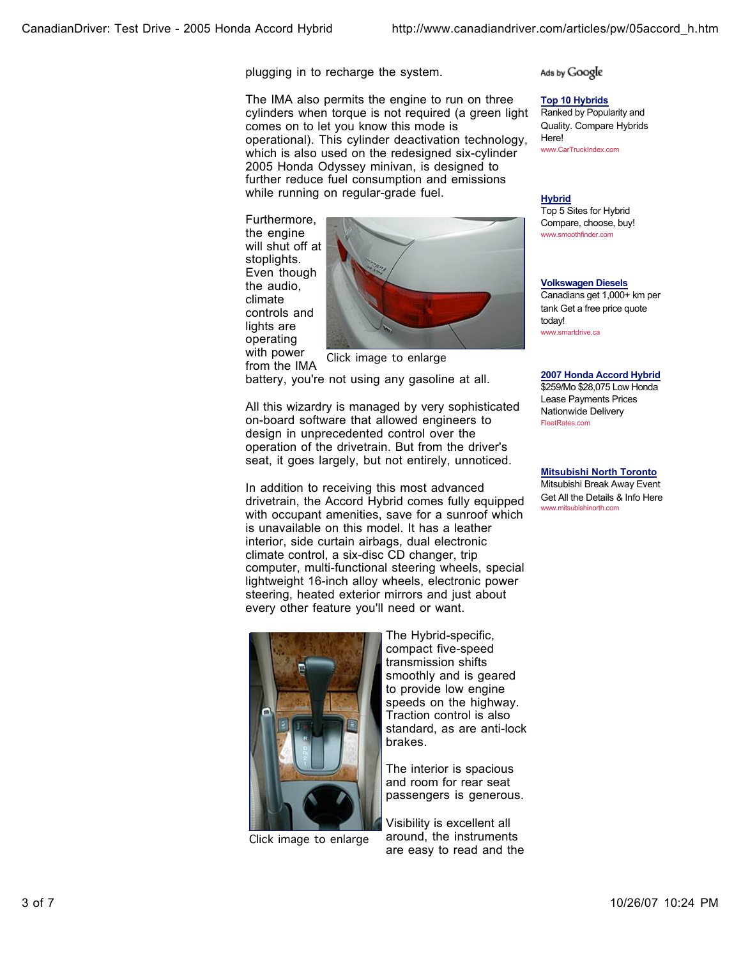plugging in to recharge the system.

The IMA also permits the engine to run on three cylinders when torque is not required (a green light comes on to let you know this mode is operational). This cylinder deactivation technology, which is also used on the redesigned six-cylinder 2005 Honda Odyssey minivan, is designed to further reduce fuel consumption and emissions while running on regular-grade fuel.

Furthermore, the engine will shut off at stoplights. Even though the audio, climate controls and lights are operating with power



from the IMA

battery, you're not using any gasoline at all.

All this wizardry is managed by very sophisticated on-board software that allowed engineers to design in unprecedented control over the operation of the drivetrain. But from the driver's seat, it goes largely, but not entirely, unnoticed.

In addition to receiving this most advanced drivetrain, the Accord Hybrid comes fully equipped with occupant amenities, save for a sunroof which is unavailable on this model. It has a leather interior, side curtain airbags, dual electronic climate control, a six-disc CD changer, trip computer, multi-functional steering wheels, special lightweight 16-inch alloy wheels, electronic power steering, heated exterior mirrors and just about every other feature you'll need or want.



Click image to enlarge

The Hybrid-specific, compact five-speed transmission shifts smoothly and is geared to provide low engine speeds on the highway. Traction control is also standard, as are anti-lock brakes.

The interior is spacious and room for rear seat passengers is generous.

Visibility is excellent all around, the instruments are easy to read and the Ads by Google

**Top 10 Hybrids** Ranked by Popularity and

Quality. Compare Hybrids Here! www.CarTruckIndex.com

**Hybrid** Top 5 Sites for Hybrid Compare, choose, buy! www.smoothfinder.com

**Volkswagen Diesels** Canadians get 1,000+ km per

tank Get a free price quote today! www.smartdrive.ca

**2007 Honda Accord Hybrid**

\$259/Mo \$28,075 Low Honda Lease Payments Prices Nationwide Delivery FleetRates.com

**Mitsubishi North Toronto** Mitsubishi Break Away Event Get All the Details & Info Here www.mitsubishinorth.com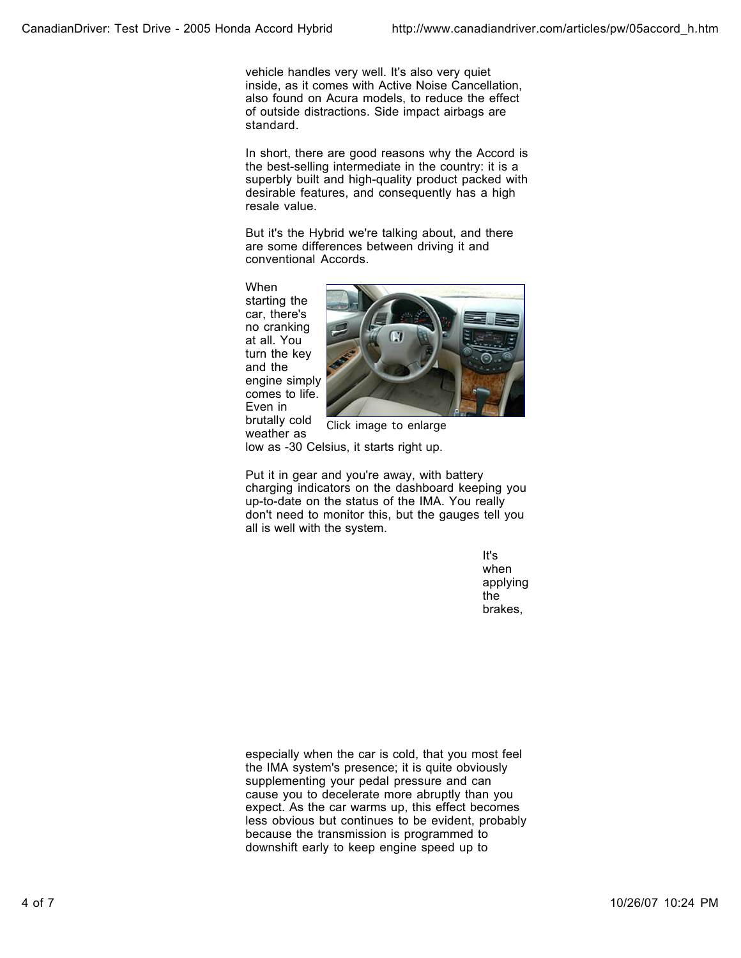vehicle handles very well. It's also very quiet inside, as it comes with Active Noise Cancellation, also found on Acura models, to reduce the effect of outside distractions. Side impact airbags are standard.

In short, there are good reasons why the Accord is the best-selling intermediate in the country: it is a superbly built and high-quality product packed with desirable features, and consequently has a high resale value.

But it's the Hybrid we're talking about, and there are some differences between driving it and conventional Accords.

When starting the car, there's no cranking at all. You turn the key and the engine simply comes to life. Even in brutally cold weather as



Click image to enlarge

low as -30 Celsius, it starts right up.

Put it in gear and you're away, with battery charging indicators on the dashboard keeping you up-to-date on the status of the IMA. You really don't need to monitor this, but the gauges tell you all is well with the system.

> It's when applying the brakes,

especially when the car is cold, that you most feel the IMA system's presence; it is quite obviously supplementing your pedal pressure and can cause you to decelerate more abruptly than you expect. As the car warms up, this effect becomes less obvious but continues to be evident, probably because the transmission is programmed to downshift early to keep engine speed up to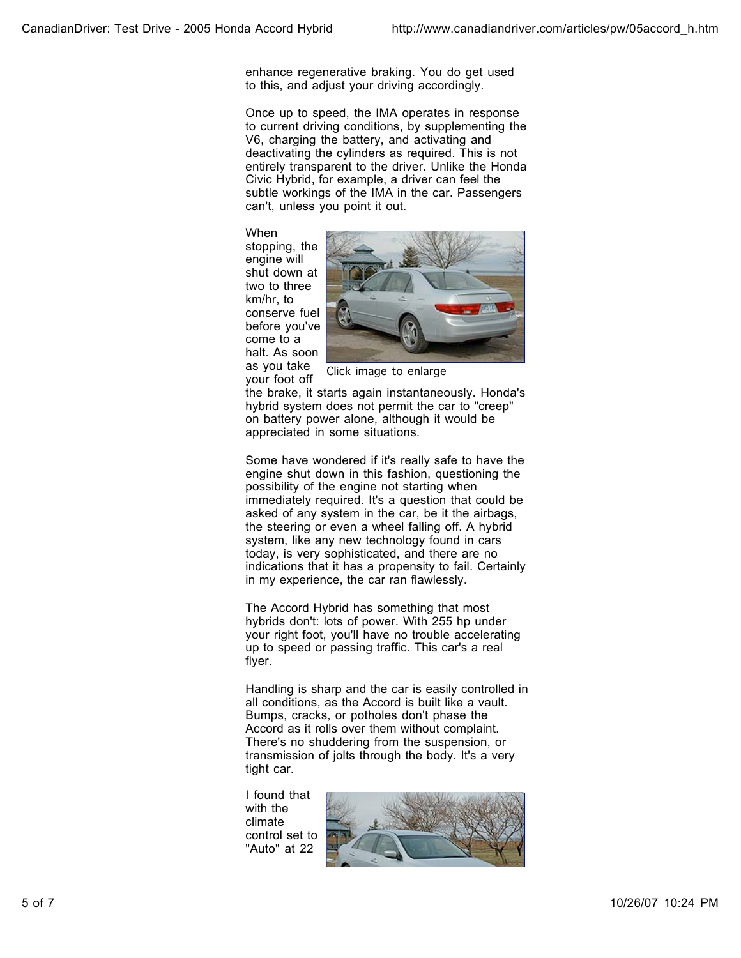enhance regenerative braking. You do get used to this, and adjust your driving accordingly.

Once up to speed, the IMA operates in response to current driving conditions, by supplementing the V6, charging the battery, and activating and deactivating the cylinders as required. This is not entirely transparent to the driver. Unlike the Honda Civic Hybrid, for example, a driver can feel the subtle workings of the IMA in the car. Passengers can't, unless you point it out.

When stopping, the engine will shut down at two to three km/hr, to conserve fuel before you've come to a halt. As soon as you take your foot off



Click image to enlarge

the brake, it starts again instantaneously. Honda's hybrid system does not permit the car to "creep" on battery power alone, although it would be appreciated in some situations.

Some have wondered if it's really safe to have the engine shut down in this fashion, questioning the possibility of the engine not starting when immediately required. It's a question that could be asked of any system in the car, be it the airbags, the steering or even a wheel falling off. A hybrid system, like any new technology found in cars today, is very sophisticated, and there are no indications that it has a propensity to fail. Certainly in my experience, the car ran flawlessly.

The Accord Hybrid has something that most hybrids don't: lots of power. With 255 hp under your right foot, you'll have no trouble accelerating up to speed or passing traffic. This car's a real flyer.

Handling is sharp and the car is easily controlled in all conditions, as the Accord is built like a vault. Bumps, cracks, or potholes don't phase the Accord as it rolls over them without complaint. There's no shuddering from the suspension, or transmission of jolts through the body. It's a very tight car.

I found that with the climate control set to "Auto" at 22

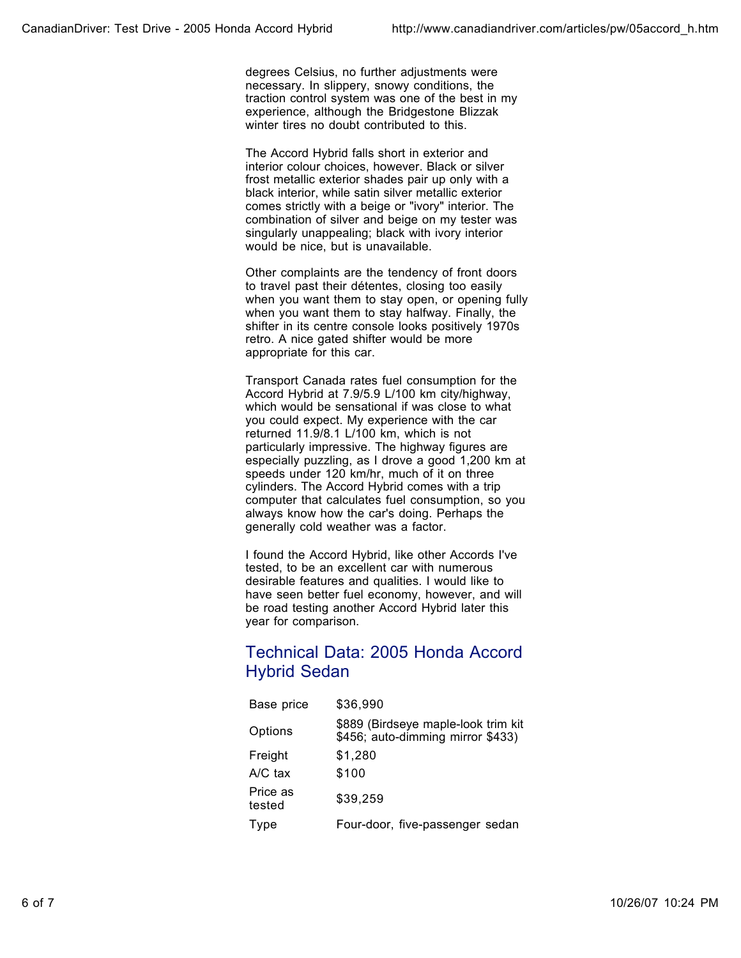degrees Celsius, no further adjustments were necessary. In slippery, snowy conditions, the traction control system was one of the best in my experience, although the Bridgestone Blizzak winter tires no doubt contributed to this.

The Accord Hybrid falls short in exterior and interior colour choices, however. Black or silver frost metallic exterior shades pair up only with a black interior, while satin silver metallic exterior comes strictly with a beige or "ivory" interior. The combination of silver and beige on my tester was singularly unappealing; black with ivory interior would be nice, but is unavailable.

Other complaints are the tendency of front doors to travel past their détentes, closing too easily when you want them to stay open, or opening fully when you want them to stay halfway. Finally, the shifter in its centre console looks positively 1970s retro. A nice gated shifter would be more appropriate for this car.

Transport Canada rates fuel consumption for the Accord Hybrid at 7.9/5.9 L/100 km city/highway, which would be sensational if was close to what you could expect. My experience with the car returned 11.9/8.1 L/100 km, which is not particularly impressive. The highway figures are especially puzzling, as I drove a good 1,200 km at speeds under 120 km/hr, much of it on three cylinders. The Accord Hybrid comes with a trip computer that calculates fuel consumption, so you always know how the car's doing. Perhaps the generally cold weather was a factor.

I found the Accord Hybrid, like other Accords I've tested, to be an excellent car with numerous desirable features and qualities. I would like to have seen better fuel economy, however, and will be road testing another Accord Hybrid later this year for comparison.

# Technical Data: 2005 Honda Accord Hybrid Sedan

| Base price         | \$36,990                                                                 |
|--------------------|--------------------------------------------------------------------------|
| Options            | \$889 (Birdseye maple-look trim kit<br>\$456; auto-dimming mirror \$433) |
| Freight            | \$1,280                                                                  |
| $A/C$ tax          | \$100                                                                    |
| Price as<br>tested | \$39,259                                                                 |
| Type               | Four-door, five-passenger sedan                                          |